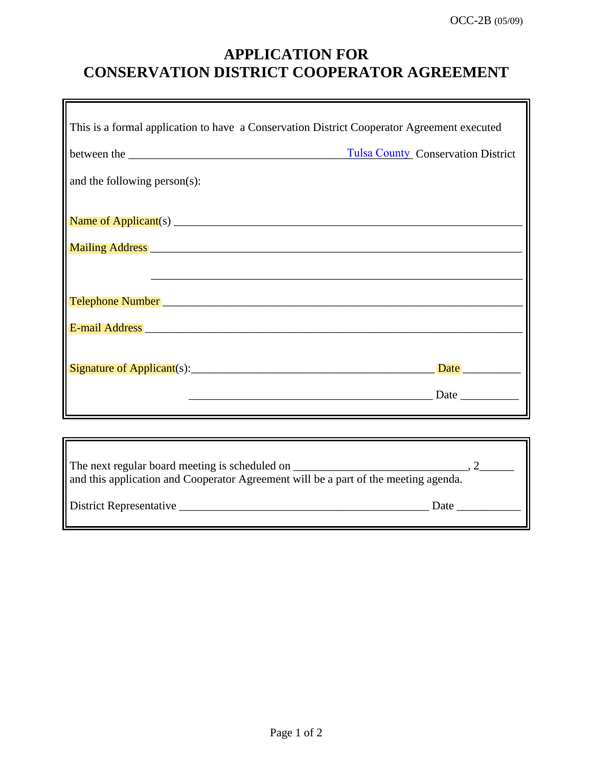## **APPLICATION FOR CONSERVATION DISTRICT COOPERATOR AGREEMENT**

| This is a formal application to have a Conservation District Cooperator Agreement executed |                                           |
|--------------------------------------------------------------------------------------------|-------------------------------------------|
|                                                                                            | <b>Tulsa County Conservation District</b> |
| and the following person(s):                                                               |                                           |
|                                                                                            |                                           |
|                                                                                            |                                           |
|                                                                                            |                                           |
|                                                                                            |                                           |
| E-mail Address <b>E-mail Address</b>                                                       |                                           |
|                                                                                            | Date                                      |
|                                                                                            |                                           |
|                                                                                            |                                           |

| The next regular board meeting is scheduled on<br>and this application and Cooperator Agreement will be a part of the meeting agenda. |      |
|---------------------------------------------------------------------------------------------------------------------------------------|------|
| District Representative                                                                                                               | Date |